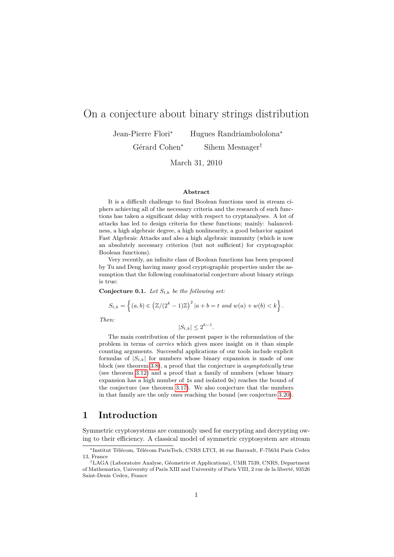# On a conjecture about binary strings distribution

Jean-Pierre Flori<sup>∗</sup> Hugues Randriambololona<sup>∗</sup>

Gérard Cohen<sup>∗</sup> Sihem Mesnager†

March 31, 2010

#### **Abstract**

It is a difficult challenge to find Boolean functions used in stream ciphers achieving all of the necessary criteria and the research of such functions has taken a significant delay with respect to cryptanalyses. A lot of attacks has led to design criteria for these functions; mainly: balancedness, a high algebraic degree, a high nonlinearity, a good behavior against Fast Algebraic Attacks and also a high algebraic immunity (which is now an absolutely necessary criterion (but not sufficient) for cryptographic Boolean functions).

Very recently, an infinite class of Boolean functions has been proposed by Tu and Deng having many good cryptographic properties under the assumption that the following combinatorial conjecture about binary strings is true:

<span id="page-0-0"></span>**Conjecture 0.1.** *Let St,k be the following set:*

 $S_{t,k} = \left\{ (a, b) \in (\mathbb{Z}/(2^k - 1)\mathbb{Z})^2 \, | a + b = t \text{ and } w(a) + w(b) < k \right\}.$ 

*Then:*

 $|S_{t,k}| \leq 2^{k-1}$ .

The main contribution of the present paper is the reformulation of the problem in terms of *carries* which gives more insight on it than simple counting arguments. Successful applications of our tools include explicit formulas of  $|S_{t,k}|$  for numbers whose binary expansion is made of one block (see theorem [3.8\)](#page-13-0), a proof that the conjecture is *asymptotically* true (see theorem [3.12\)](#page-17-0) and a proof that a family of numbers (whose binary expansion has a high number of 1s and isolated 0s) reaches the bound of the conjecture (see theorem [3.17\)](#page-21-0). We also conjecture that the numbers in that family are the only ones reaching the bound (see conjecture [3.20\)](#page-22-0).

## **1 Introduction**

Symmetric cryptosystems are commonly used for encrypting and decrypting owing to their efficiency. A classical model of symmetric cryptosystem are stream

<sup>∗</sup>Institut Télécom, Télécom ParisTech, CNRS LTCI, 46 rue Barrault, F-75634 Paris Cedex 13, France

<sup>†</sup>LAGA (Laboratoire Analyse, Géometrie et Applications), UMR 7539, CNRS, Department of Mathematics, University of Paris XIII and University of Paris VIII, 2 rue de la liberté, 93526 Saint-Denis Cedex, France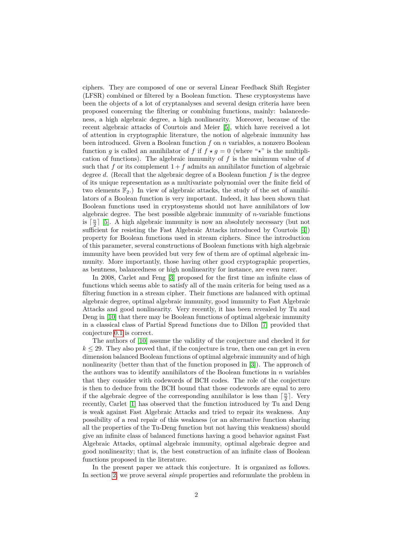ciphers. They are composed of one or several Linear Feedback Shift Register (LFSR) combined or filtered by a Boolean function. These cryptosystems have been the objects of a lot of cryptanalyses and several design criteria have been proposed concerning the filtering or combining functions, mainly: balancedeness, a high algebraic degree, a high nonlinearity. Moreover, because of the recent algebraic attacks of Courtois and Meier [\[5\]](#page-25-0), which have received a lot of attention in cryptographic literature, the notion of algebraic immunity has been introduced. Given a Boolean function *f* on *n* variables, a nonzero Boolean function *g* is called an annihilator of *f* if  $f \star g = 0$  (where " $\star$ " is the multiplication of functions). The algebraic immunity of *f* is the minimum value of *d* such that  $f$  or its complement  $1 + f$  admits an annihilator function of algebraic degree *d*. (Recall that the algebraic degree of a Boolean function *f* is the degree of its unique representation as a multivariate polynomial over the finite field of two elements  $\mathbb{F}_2$ .) In view of algebraic attacks, the study of the set of annihilators of a Boolean function is very important. Indeed, it has been shown that Boolean functions used in cryptosystems should not have annihilators of low algebraic degree. The best possible algebraic immunity of *n*-variable functions is  $\lceil \frac{n}{2} \rceil$  [\[5\]](#page-25-0). A high algebraic immunity is now an absolutely necessary (but not sufficient for resisting the Fast Algebraic Attacks introduced by Courtois [\[4\]](#page-25-1)) property for Boolean functions used in stream ciphers. Since the introduction of this parameter, several constructions of Boolean functions with high algebraic immunity have been provided but very few of them are of optimal algebraic immunity. More importantly, those having other good cryptographic properties, as bentness, balancedness or high nonlinearity for instance, are even rarer.

In 2008, Carlet and Feng [\[3\]](#page-25-2) proposed for the first time an infinite class of functions which seems able to satisfy all of the main criteria for being used as a filtering function in a stream cipher. Their functions are balanced with optimal algebraic degree, optimal algebraic immunity, good immunity to Fast Algebraic Attacks and good nonlinearity. Very recently, it has been revealed by Tu and Deng in [\[10\]](#page-26-0) that there may be Boolean functions of optimal algebraic immunity in a classical class of Partial Spread functions due to Dillon [\[7\]](#page-25-3) provided that conjecture [0.1](#page-0-0) is correct.

The authors of [\[10\]](#page-26-0) assume the validity of the conjecture and checked it for  $k \leq 29$ . They also proved that, if the conjecture is true, then one can get in even dimension balanced Boolean functions of optimal algebraic immunity and of high nonlinearity (better than that of the function proposed in [\[3\]](#page-25-2)). The approach of the authors was to identify annihilators of the Boolean functions in *n* variables that they consider with codewords of BCH codes. The role of the conjecture is then to deduce from the BCH bound that those codewords are equal to zero if the algebraic degree of the corresponding annihilator is less than  $\lceil \frac{n}{2} \rceil$ . Very recently, Carlet [\[1\]](#page-25-4) has observed that the function introduced by Tu and Deng is weak against Fast Algebraic Attacks and tried to repair its weakness. Any possibility of a real repair of this weakness (or an alternative function sharing all the properties of the Tu-Deng function but not having this weakness) should give an infinite class of balanced functions having a good behavior against Fast Algebraic Attacks, optimal algebraic immunity, optimal algebraic degree and good nonlinearity; that is, the best construction of an infinite class of Boolean functions proposed in the literature.

In the present paper we attack this conjecture. It is organized as follows. In section [2,](#page-2-0) we prove several *simple* properties and reformulate the problem in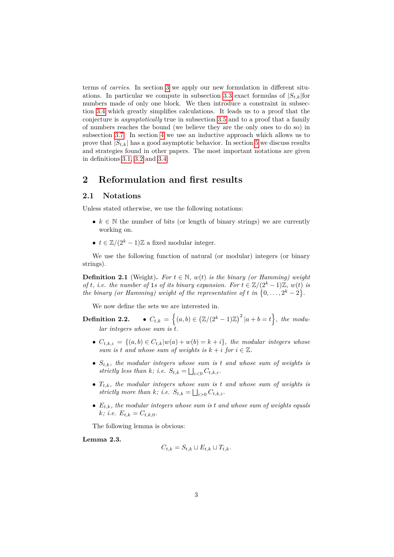terms of *carries*. In section [3](#page-8-0) we apply our new formulation in different situ-ations. In particular we compute in subsection [3.3](#page-13-1) exact formulas of  $|S_{t,k}|$  for numbers made of only one block. We then introduce a constraint in subsection [3.4](#page-14-0) which greatly simplifies calculations. It leads us to a proof that the conjecture is *asymptotically* true in subsection [3.5](#page-16-0) and to a proof that a family of numbers reaches the bound (we believe they are the only ones to do so) in subsection [3.7.](#page-20-0) In section [4](#page-22-1) we use an inductive approach which allows us to prove that  $|S_{t,k}|$  has a good asymptotic behavior. In section [5](#page-24-0) we discuss results and strategies found in other papers. The most important notations are given in definitions [3.1,](#page-8-1) [3.2](#page-9-0) and [3.4.](#page-10-0)

## <span id="page-2-0"></span>**2 Reformulation and first results**

### **2.1 Notations**

Unless stated otherwise, we use the following notations:

- $k \in \mathbb{N}$  the number of bits (or length of binary strings) we are currently working on.
- $t \in \mathbb{Z}/(2^k-1)\mathbb{Z}$  a fixed modular integer.

We use the following function of natural (or modular) integers (or binary strings).

**Definition 2.1** (Weight). For  $t \in \mathbb{N}$ ,  $w(t)$  is the binary (or Hamming) weight *of t*, *i.e.* the number of 1*s* of its binary expansion. For  $t \in \mathbb{Z}/(2^k-1)\mathbb{Z}$ ,  $w(t)$  is *the binary (or Hamming) weight of the representative of t in*  $\{0, \ldots, 2^k - 2\}$ .

We now define the sets we are interested in.

 $\textbf{Definition 2.2.} \qquad \bullet \ \ C_{t,k} \ = \ \Big\{ (a,b) \in \big( \mathbb{Z}/(2^k-1)\mathbb{Z} \big)^2 \, | a+b = t \Big\}, \ \textit{the \ mod} u \textit{-}$ *lar integers whose sum is t.*

- *Ct,k,i* = {(*a, b*) ∈ *Ct,k*|*w*(*a*) + *w*(*b*) = *k* + *i*}*, the modular integers whose sum is t* and whose sum of weights is  $k + i$  for  $i \in \mathbb{Z}$ .
- *St,k, the modular integers whose sum is t and whose sum of weights is* strictly less than *k*; i.e.  $S_{t,k} = \bigsqcup_{i<0} C_{t,k,i}$ .
- *Tt,k, the modular integers whose sum is t and whose sum of weights is* strictly more than  $k$ ; i.e.  $S_{t,k} = \bigsqcup_{i>0} C_{t,k,i}$ .
- $E_{t,k}$ *, the modular integers whose sum is t and whose sum of weights equals*  $k$ *; i.e.*  $E_{t,k} = C_{t,k,0}$ *.*

The following lemma is obvious:

**Lemma 2.3.**

$$
C_{t,k} = S_{t,k} \sqcup E_{t,k} \sqcup T_{t,k}.
$$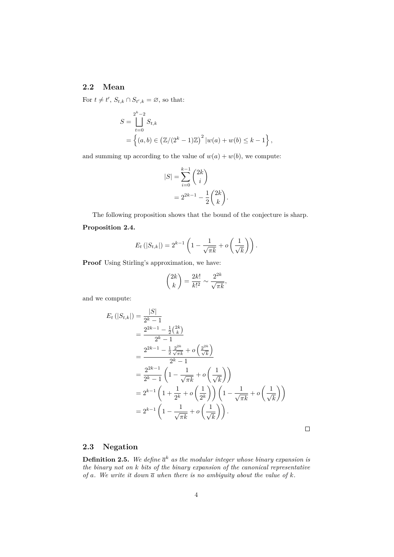### **2.2 Mean**

For  $t \neq t'$ ,  $S_{t,k} \cap S_{t',k} = \emptyset$ , so that:

$$
S = \bigcup_{t=0}^{2^k - 2} S_{t,k}
$$
  
=  $\{(a, b) \in (\mathbb{Z}/(2^k - 1)\mathbb{Z})^2 | w(a) + w(b) \le k - 1 \},$ 

and summing up according to the value of  $w(a) + w(b)$ , we compute:

$$
|S| = \sum_{i=0}^{k-1} {2k \choose i}
$$

$$
= 2^{2k-1} - \frac{1}{2} {2k \choose k}.
$$

The following proposition shows that the bound of the conjecture is sharp.

### **Proposition 2.4.**

$$
E_t(|S_{t,k}|) = 2^{k-1}\left(1 - \frac{1}{\sqrt{\pi k}} + o\left(\frac{1}{\sqrt{k}}\right)\right).
$$

**Proof** Using Stirling's approximation, we have:

$$
\binom{2k}{k} = \frac{2k!}{k!^2} \sim \frac{2^{2k}}{\sqrt{\pi k}},
$$

and we compute:

$$
E_t(|S_{t,k}|) = \frac{|S|}{2^k - 1}
$$
  
= 
$$
\frac{2^{2k-1} - \frac{1}{2} {2k \choose k}}{2^k - 1}
$$
  
= 
$$
\frac{2^{2k-1} - \frac{1}{2} \frac{2^{2k}}{\sqrt{\pi k}} + o\left(\frac{2^{2k}}{\sqrt{k}}\right)}{2^k - 1}
$$
  
= 
$$
\frac{2^{2k-1}}{2^k - 1} \left(1 - \frac{1}{\sqrt{\pi k}} + o\left(\frac{1}{\sqrt{k}}\right)\right)
$$
  
= 
$$
2^{k-1} \left(1 + \frac{1}{2^k} + o\left(\frac{1}{2^k}\right)\right) \left(1 - \frac{1}{\sqrt{\pi k}} + o\left(\frac{1}{\sqrt{k}}\right)\right)
$$
  
= 
$$
2^{k-1} \left(1 - \frac{1}{\sqrt{\pi k}} + o\left(\frac{1}{\sqrt{k}}\right)\right).
$$

 $\Box$ 

### **2.3 Negation**

**Definition 2.5.** We define  $\overline{a}^k$  as the modular integer whose binary expansion is *the binary not on k bits of the binary expansion of the canonical representative of a. We write it down a when there is no ambiguity about the value of k.*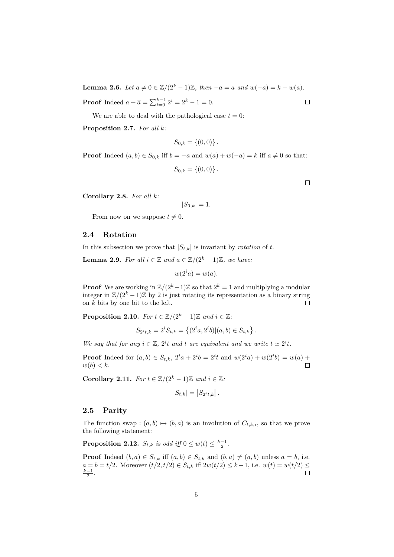<span id="page-4-0"></span>**Lemma 2.6.** *Let*  $a \neq 0 \in \mathbb{Z}/(2^k - 1)\mathbb{Z}$ , then  $-a = \overline{a}$  and  $w(-a) = k - w(a)$ .

**Proof** Indeed  $a + \overline{a} = \sum_{i=0}^{k-1} 2^i = 2^k - 1 = 0.$ 

We are able to deal with the pathological case  $t = 0$ :

**Proposition 2.7.** *For all k:*

$$
S_{0,k} = \{(0,0)\}.
$$

**Proof** Indeed  $(a, b) \in S_{0,k}$  iff  $b = -a$  and  $w(a) + w(-a) = k$  iff  $a \neq 0$  so that:

 $S_{0,k} = \{(0,0)\}\.$ 

**Corollary 2.8.** *For all k:*

$$
|S_{0,k}|=1.
$$

From now on we suppose  $t \neq 0$ .

### **2.4 Rotation**

In this subsection we prove that  $|S_{t,k}|$  is invariant by *rotation* of *t*.

**Lemma 2.9.** *For all*  $i \in \mathbb{Z}$  *and*  $a \in \mathbb{Z}/(2^k-1)\mathbb{Z}$ *, we have:* 

$$
w(2^i a) = w(a).
$$

**Proof** We are working in  $\mathbb{Z}/(2^k-1)\mathbb{Z}$  so that  $2^k = 1$  and multiplying a modular integer in  $\mathbb{Z}/(2^k-1)\mathbb{Z}$  by 2 is just rotating its representation as a binary string on *k* bits by one bit to the left.  $\Box$ 

**Proposition 2.10.** *For*  $t \in \mathbb{Z}/(2^k - 1)\mathbb{Z}$  *and*  $i \in \mathbb{Z}$ *:* 

$$
S_{2^{i}t,k} = 2^{i}S_{t,k} = \left\{ (2^{i}a, 2^{i}b) | (a,b) \in S_{t,k} \right\}.
$$

*We say that for any*  $i \in \mathbb{Z}$ ,  $2^{i}t$  *and*  $t$  *are equivalent and we write*  $t \approx 2^{i}t$ *.* 

**Proof** Indeed for  $(a, b) \in S_{t,k}$ ,  $2^i a + 2^i b = 2^i t$  and  $w(2^i a) + w(2^i b) = w(a) +$  $w(b) < k$ .  $\Box$ 

**Corollary 2.11.** *For*  $t \in \mathbb{Z}/(2^k - 1)\mathbb{Z}$  *and*  $i \in \mathbb{Z}$ *:* 

$$
|S_{t,k}| = |S_{2^it,k}|.
$$

### **2.5 Parity**

The function swap :  $(a, b) \mapsto (b, a)$  is an involution of  $C_{t,k,i}$ , so that we prove the following statement:

**Proposition 2.12.**  $S_{t,k}$  *is odd iff*  $0 \leq w(t) \leq \frac{k-1}{2}$ .

**Proof** Indeed  $(b, a) \in S_{t,k}$  iff  $(a, b) \in S_{t,k}$  and  $(b, a) \neq (a, b)$  unless  $a = b$ , i.e. *a* = *b* = *t/*2. Moreover  $(t/2, t/2) \in S_{t,k}$  iff  $2w(t/2) \le k-1$ , i.e.  $w(t) = w(t/2) \le \frac{k-1}{2}$ . □  $\frac{k-1}{2}$ .

 $\Box$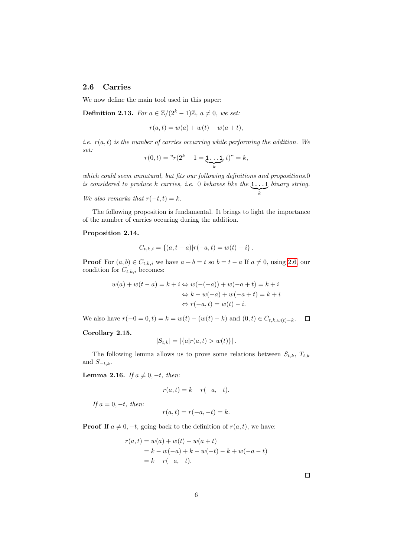### **2.6 Carries**

We now define the main tool used in this paper:

**Definition 2.13.** *For*  $a \in \mathbb{Z}/(2^k-1)\mathbb{Z}$ ,  $a \neq 0$ *, we set:* 

$$
r(a,t) = w(a) + w(t) - w(a+t),
$$

*i.e.*  $r(a, t)$  *is the number of carries occurring while performing the addition. We set:*

$$
r(0,t) = "r(2k - 1 = \underbrace{1 \dots 1}_{k}, t)" = k,
$$

*which could seem unnatural, but fits our following definitions and propositions.*0 *is considered to produce k carries, i.e.* 0 *behaves like the* 1...1  $\sum_{k}$ *binary string.*

*We also remarks that*  $r(-t, t) = k$ *.* 

The following proposition is fundamental. It brings to light the importance of the number of carries occuring during the addition.

#### **Proposition 2.14.**

$$
C_{t,k,i} = \{(a, t-a)|r(-a,t) = w(t) - i\}.
$$

**Proof** For  $(a, b) \in C_{t,k,i}$  we have  $a + b = t$  so  $b = t - a$  If  $a \neq 0$ , using [2.6,](#page-4-0) our condition for  $C_{t,k,i}$  becomes:

$$
w(a) + w(t - a) = k + i \Leftrightarrow w(-(-a)) + w(-a + t) = k + i
$$
  

$$
\Leftrightarrow k - w(-a) + w(-a + t) = k + i
$$
  

$$
\Leftrightarrow r(-a, t) = w(t) - i.
$$

We also have  $r(-0 = 0, t) = k = w(t) - (w(t) - k)$  and  $(0, t) \in C_{t,k,w(t)-k}$ .  $\Box$ 

### **Corollary 2.15.**

$$
|S_{t,k}| = |\{a|r(a,t) > w(t)\}|.
$$

The following lemma allows us to prove some relations between  $S_{t,k}$ ,  $T_{t,k}$ and  $S_{-t,k}$ .

**Lemma 2.16.** *If*  $a \neq 0, -t$ *, then:* 

$$
r(a,t) = k - r(-a,-t).
$$

*If*  $a = 0, −t$ *, then:* 

$$
r(a,t) = r(-a, -t) = k.
$$

**Proof** If  $a \neq 0, -t$ , going back to the definition of  $r(a, t)$ , we have:

$$
r(a,t) = w(a) + w(t) - w(a+t)
$$
  
= k - w(-a) + k - w(-t) - k + w(-a - t)  
= k - r(-a, -t).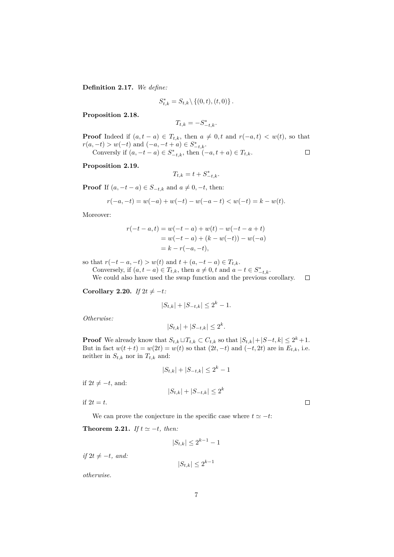**Definition 2.17.** *We define:*

$$
S_{t,k}^* = S_{t,k} \backslash \{ (0,t), (t,0) \}.
$$

**Proposition 2.18.**

$$
T_{t,k} = -S_{-t,k}^*.
$$

**Proof** Indeed if  $(a, t - a) \in T_{t,k}$ , then  $a \neq 0, t$  and  $r(-a, t) < w(t)$ , so that  $r(a, -t) > w(-t)$  and  $(-a, -t + a) \in S^*_{-t,k}$ . Conversly if  $(a, -t - a) \in S_{-t,k}^*$ , then  $(-a, t + a) \in T_{t,k}$ .  $\Box$ 

**Proposition 2.19.**

$$
T_{t,k} = t + S_{-t,k}^*.
$$

**Proof** If  $(a, -t - a) \in S_{-t,k}$  and  $a \neq 0, -t$ , then:

$$
r(-a, -t) = w(-a) + w(-t) - w(-a - t) < w(-t) = k - w(t).
$$

Moreover:

$$
r(-t - a, t) = w(-t - a) + w(t) - w(-t - a + t)
$$
  
= w(-t - a) + (k - w(-t)) - w(-a)  
= k - r(-a, -t),

so that  $r(-t - a, -t) > w(t)$  and  $t + (a, -t - a) \in T_{t,k}$ .

Conversely, if  $(a, t - a) \in T_{t,k}$ , then  $a \neq 0, t$  and  $a - t \in S_{-t,k}^*$ . We could also have used the swap function and the previous corollary.  $\Box$ 

<span id="page-6-0"></span>**Corollary 2.20.** *If*  $2t \neq -t$ *:* 

$$
|S_{t,k}| + |S_{-t,k}| \le 2^k - 1.
$$

*Otherwise:*

$$
|S_{t,k}| + |S_{-t,k}| \le 2^k.
$$

**Proof** We already know that  $S_{t,k} \sqcup T_{t,k} \subset C_{t,k}$  so that  $|S_{t,k}| + |S-t,k| \leq 2^k + 1$ . But in fact  $w(t + t) = w(2t) = w(t)$  so that  $(2t, -t)$  and  $(-t, 2t)$  are in  $E_{t,k}$ , i.e. neither in  $S_{t,k}$  nor in  $T_{t,k}$  and:

$$
|S_{t,k}| + |S_{-t,k}| \le 2^k - 1
$$

if  $2t ≠ -t$ , and:

$$
|S_{t,k}| + |S_{-t,k}| \le 2^k
$$

if  $2t = t$ .

We can prove the conjecture in the specific case where  $t \approx -t$ :

<span id="page-6-1"></span>**Theorem 2.21.** *If*  $t \approx -t$ *, then:* 

$$
|S_{t,k}| \le 2^{k-1} - 1
$$

*if*  $2t \neq -t$ *, and:* 

$$
|S_{t,k}| \le 2^{k-1}
$$

*otherwise.*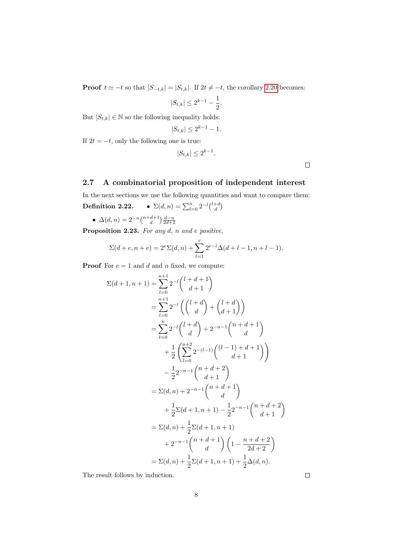**Proof**  $t \approx -t$  so that  $|S_{-t,k}| = |S_{t,k}|$ . If  $2t \neq -t$ , the corollary [2.20](#page-6-0) becomes:

$$
|S_{t,k}| \le 2^{k-1} - \frac{1}{2}.
$$

But  $|S_{t,k}| \in \mathbb{N}$  so the following inequality holds:

$$
|S_{t,k}| \le 2^{k-1} - 1.
$$

If  $2t = -t$ , only the following one is true:

$$
|S_{t,k}| \le 2^{k-1}.
$$

 $\Box$ 

## **2.7 A combinatorial proposition of independent interest**

In the next sections we use the following quantities and want to compare them:

**Definition 2.22.** 
$$
\bullet \ \Sigma(d,n) = \sum_{l=0}^{n} 2^{-l} {l+d \choose d}
$$

•  $\Delta(d, n) = 2^{-n} \binom{n+d+1}{d} \frac{d-n}{2d+2}$ 

**Proposition 2.23.** *For any d, n and e positive,*

$$
\Sigma(d+e,n+e) = 2^{e} \Sigma(d,n) + \sum_{l=1}^{e} 2^{e-l} \Delta(d+l-1,n+l-1).
$$

**Proof** For  $e = 1$  and  $d$  and  $n$  fixed, we compute:

$$
\Sigma(d+1,n+1) = \sum_{l=0}^{n+1} 2^{-l} {l+d+1 \choose d+1}
$$
  
\n
$$
= \sum_{l=0}^{n+1} 2^{-l} ( {l+d \choose d} + {l+d \choose d+1} )
$$
  
\n
$$
= \sum_{l=0}^{n} 2^{-l} {l+d \choose d} + 2^{-n-1} {n+d+1 \choose d}
$$
  
\n
$$
+ \frac{1}{2} (\sum_{l=0}^{n+2} 2^{-(l-1)} {l-1+d+1 \choose d+1} )
$$
  
\n
$$
- \frac{1}{2} 2^{-n-1} {n+d+2 \choose d+1}
$$
  
\n
$$
= \Sigma(d,n) + 2^{-n-1} {n+d+1 \choose d}
$$
  
\n
$$
+ \frac{1}{2} \Sigma(d+1,n+1) - \frac{1}{2} 2^{-n-1} {n+d+2 \choose d+1}
$$
  
\n
$$
+ 2^{-n-1} {n+d+1 \choose d} (1 - \frac{n+d+2}{2d+2})
$$
  
\n
$$
= \Sigma(d,n) + \frac{1}{2} \Sigma(d+1,n+1) + \frac{1}{2} \Delta(d,n).
$$

The result follows by induction.

| ۰<br>I |  |
|--------|--|
|        |  |
|        |  |
|        |  |
|        |  |
|        |  |
|        |  |
|        |  |
|        |  |
|        |  |
|        |  |
|        |  |
|        |  |
|        |  |
|        |  |
|        |  |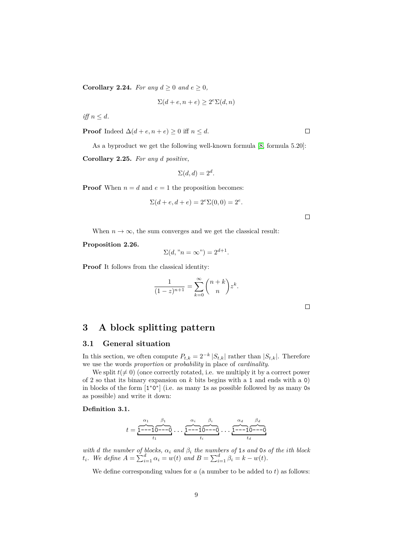**Corollary 2.24.** *For any*  $d \geq 0$  *and*  $e \geq 0$ *,* 

$$
\Sigma(d+e, n+e) \ge 2^e \Sigma(d, n)
$$

 $iff n \leq d$ .

**Proof** Indeed  $\Delta(d+e, n+e) \geq 0$  iff  $n \leq d$ .

As a byproduct we get the following well-known formula [\[8,](#page-25-5) formula 5.20]:

**Corollary 2.25.** *For any d positive,*

$$
\Sigma(d, d) = 2^d.
$$

**Proof** When  $n = d$  and  $e = 1$  the proposition becomes:

$$
\Sigma(d+e, d+e) = 2^{e} \Sigma(0, 0) = 2^{e}.
$$

When  $n \to \infty$ , the sum converges and we get the classical result:

**Proposition 2.26.**

$$
\Sigma(d, "n = \infty") = 2^{d+1}.
$$

**Proof** It follows from the classical identity:

$$
\frac{1}{(1-z)^{n+1}} = \sum_{k=0}^{\infty} \binom{n+k}{n} z^k.
$$

 $\Box$ 

### <span id="page-8-0"></span>**3 A block splitting pattern**

#### **3.1 General situation**

In this section, we often compute  $P_{t,k} = 2^{-k} |S_{t,k}|$  rather than  $|S_{t,k}|$ . Therefore we use the words *proportion* or *probability* in place of *cardinality*.

We split  $t(\neq 0)$  (once correctly rotated, i.e. we multiply it by a correct power of 2 so that its binary expansion on *k* bits begins with a 1 and ends with a 0) in blocks of the form  $[1^*0^*]$  (i.e. as many 1s as possible followed by as many 0s as possible) and write it down:

#### <span id="page-8-1"></span>**Definition 3.1.**

$$
t=\overbrace{1\cdots 1}^{\alpha_1}\overbrace{\cdots\cdots 0}^{\beta_1}\cdots\overbrace{1\cdots 1}^{\alpha_i}\overbrace{0\cdots 0}^{\beta_i}\cdots\overbrace{1\cdots 1}^{\alpha_d}\overbrace{0\cdots 0}^{\beta_d}
$$

*with d the number of blocks, α<sup>i</sup> and β<sup>i</sup> the numbers of* 1*s and* 0*s of the ith block t*<sub>*i*</sub>. We define  $A = \sum_{i=1}^{d} \alpha_i = w(t)$  and  $B = \sum_{i=1}^{d} \beta_i = k - w(t)$ .

We define corresponding values for  $a$  (a number to be added to  $t$ ) as follows: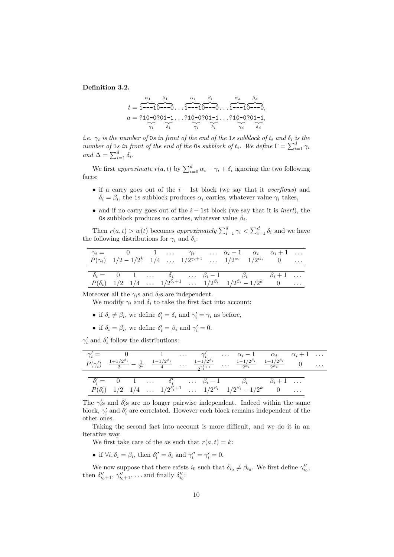<span id="page-9-0"></span>**Definition 3.2.**

$$
t = \overbrace{1 \cdots 1}^{a_1} \overbrace{0 \cdots 0}^{b_1} \cdots \overbrace{1 \cdots 1}^{a_i} \overbrace{0 \cdots 0}^{b_i} \cdots \overbrace{1 \cdots 1}^{a_d} \overbrace{0 \cdots 0}^{b_d} \cdots
$$
  
\n
$$
a = ?10 \cdot 0 ?01 \cdot 1 \cdots ?10 \cdot 0 ?01 \cdot 1 \cdots ?10 \cdot 0 ?01 \cdot 1,
$$
  
\n
$$
\overbrace{0 \cdots 0}^{a_1} \overbrace{0 \cdots 0}^{b_1} \overbrace{0 \cdots 0}^{a_2} \overbrace{0 \cdots 0}^{a_d} \overbrace{0 \cdots 0}^{b_d}
$$

*i.e.*  $\gamma_i$  *is the number of* 0*s in front of the end of the* 1*s subblock of*  $t_i$  *and*  $\delta_i$  *is the number of* 1*s in front of the end of the* 0*s subblock of*  $t_i$ *. We define*  $\Gamma = \sum_{i=1}^d \gamma_i$  $and \Delta = \sum_{i=1}^d \delta_i.$ 

We first *approximate*  $r(a, t)$  by  $\sum_{i=0}^{d} \alpha_i - \gamma_i + \delta_i$  ignoring the two following facts:

- if a carry goes out of the *i* − 1st block (we say that it *overflows*) and  $\delta_i = \beta_i$ , the 1s subblock produces  $\alpha_i$  carries, whatever value  $\gamma_i$  takes,
- and if no carry goes out of the *i* − 1st block (we say that it is *inert*), the 0s subblock produces no carries, whatever value  $\beta_i$ .

Then  $r(a,t) > w(t)$  becomes *approximately*  $\sum_{i=1}^{d} \gamma_i < \sum_{i=1}^{d} \delta_i$  and we have the following distributions for  $\gamma_i$  and  $\delta_i$ :

|  |  |  |  | $\gamma_i =$ 0 1 $\gamma_i$ $\alpha_i - 1$ $\alpha_i$ $\alpha_i + 1$                                                  |  |
|--|--|--|--|-----------------------------------------------------------------------------------------------------------------------|--|
|  |  |  |  | $P(\gamma_i)$ $1/2 - 1/2^k$ $1/4$ $1/2^{\gamma_i+1}$ $1/2^{\alpha_i}$ $1/2^{\alpha_i}$ 0                              |  |
|  |  |  |  |                                                                                                                       |  |
|  |  |  |  | $\delta_i = 0 \quad 1 \quad \dots \quad \delta_i \quad \dots \beta_i - 1 \quad \beta_i \quad \beta_i + 1 \quad \dots$ |  |
|  |  |  |  | $P(\delta_i)$ 1/2 1/4 $1/2^{\delta_i+1}$ $1/2^{\beta_i}$ $1/2^{\beta_i}-1/2^k$ 0                                      |  |

Moreover all the  $\gamma_i$ s and  $\delta_i$ s are independent.

We modify  $\gamma_i$  and  $\delta_i$  to take the first fact into account:

- if  $\delta_i \neq \beta_i$ , we define  $\delta'_i = \delta_i$  and  $\gamma'_i = \gamma_i$  as before,
- if  $\delta_i = \beta_i$ , we define  $\delta'_i = \beta_i$  and  $\gamma'_i = 0$ .

 $\gamma'_i$  and  $\delta'_i$  follow the distributions:

|  |  |  |  |  | $\gamma_i' = 0$ 1 $\gamma_i'$ $\alpha_i - 1$ $\alpha_i$ $\alpha_i + 1$<br>$P(\gamma_i')$ $\frac{1+1/2^{\beta_i}}{2} - \frac{1}{2^k}$ $\frac{1-1/2^{\beta_i}}{4}$ $\frac{1-1/2^{\beta_i}}{2^{\gamma_i'+1}}$ $\frac{1-1/2^{\beta_i}}{2^{\alpha_i}}$ $\frac{1-1/2^{\beta_i}}{2^{\alpha_i}}$ 0                    |  |  |
|--|--|--|--|--|---------------------------------------------------------------------------------------------------------------------------------------------------------------------------------------------------------------------------------------------------------------------------------------------------------------|--|--|
|  |  |  |  |  |                                                                                                                                                                                                                                                                                                               |  |  |
|  |  |  |  |  |                                                                                                                                                                                                                                                                                                               |  |  |
|  |  |  |  |  | $\delta'_i = \begin{array}{ccccccccc} \delta'_i = \begin{array}{ccccccccc} 0 & 1 & \ldots & \delta'_i & \ldots & \beta_i - 1 & \beta_i & \beta_i + 1 & \ldots \end{array} \\ P(\delta'_i) & 1/2 & 1/4 & \ldots & 1/2^{\delta'_i+1} & \ldots & 1/2^{\beta_i} & 1/2^{\beta_i} - 1/2^k & 0 & \ldots \end{array}$ |  |  |

The  $\gamma_i$ 's and  $\delta_i$ 's are no longer pairwise independent. Indeed within the same block,  $\gamma'_i$  and  $\delta'_i$  are correlated. However each block remains independent of the other ones.

Taking the second fact into account is more difficult, and we do it in an iterative way.

We first take care of the *as* such that  $r(a, t) = k$ :

• if  $\forall i, \delta_i = \beta_i$ , then  $\delta_i'' = \delta_i$  and  $\gamma_i'' = \gamma_i' = 0$ .

We now suppose that there exists  $i_0$  such that  $\delta_{i_0} \neq \beta_{i_0}$ . We first define  $\gamma''_{i_0}$ , then  $\delta''_{i_0+1}, \gamma''_{i_0+1}, \ldots$  and finally  $\delta''_{i_0}$ :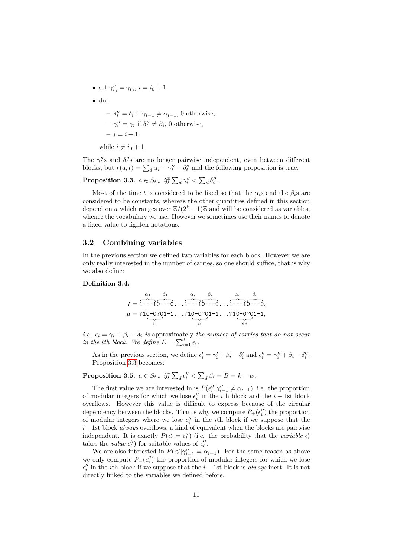- set  $\gamma''_{i_0} = \gamma_{i_0}, i = i_0 + 1$ ,
- do:

 $-\delta''_i = \delta_i$  if  $\gamma_{i-1} \neq \alpha_{i-1}$ , 0 otherwise,  $-\gamma''_i = \gamma_i$  if  $\delta''_i \neq \beta_i$ , 0 otherwise,  $- i = i + 1$ 

while  $i \neq i_0 + 1$ 

The  $\gamma''_i$ 's and  $\delta''_i$ 's are no longer pairwise independent, even between different blocks, but  $r(a, t) = \sum_d \alpha_i - \gamma''_i + \delta''_i$  and the following proposition is true:

<span id="page-10-1"></span>**Proposition 3.3.**  $a \in S_{t,k}$  iff  $\sum_d \gamma_i'' < \sum_d \delta_i''$ .

Most of the time *t* is considered to be fixed so that the  $\alpha_i$ s and the  $\beta_i$ s are considered to be constants, whereas the other quantities defined in this section depend on *a* which ranges over  $\mathbb{Z}/(2^k-1)\mathbb{Z}$  and will be considered as variables, whence the vocabulary we use. However we sometimes use their names to denote a fixed value to lighten notations.

#### **3.2 Combining variables**

In the previous section we defined two variables for each block. However we are only really interested in the number of carries, so one should suffice, that is why we also define:

#### <span id="page-10-0"></span>**Definition 3.4.**

$$
t = \overbrace{1 \cdots 1}^{\alpha_1} \overbrace{0 \cdots 0}^{\beta_1} \cdots \overbrace{1 \cdots 1}^{\alpha_i} \overbrace{0 \cdots 0}^{\beta_i} \cdots \overbrace{1 \cdots 1}^{\alpha_d} \overbrace{0 \cdots 0}^{\beta_d}
$$
  
\n
$$
a = ?10 - 0 ?01 - 1 \cdots ?10 - 0 ?01 - 1 \cdots ?10 - 0 ?01 - 1,
$$
  
\n
$$
\overbrace{\epsilon_i}^{\epsilon_i}
$$

*i.e.*  $\epsilon_i = \gamma_i + \beta_i - \delta_i$  *is* approximately *the number of carries that do not occur in the ith block. We define*  $E = \sum_{i=1}^{d} \epsilon_i$ .

As in the previous section, we define  $\epsilon'_i = \gamma'_i + \beta_i - \delta'_i$  and  $\epsilon''_i = \gamma''_i + \beta_i - \delta''_i$ . Proposition [3.3](#page-10-1) becomes:

**Proposition 3.5.**  $a \in S_{t,k}$  *iff*  $\sum_{d} \epsilon_i'' < \sum_{d} \beta_i = B = k - w$ .

The first value we are interested in is  $P(\epsilon_i''|\gamma_{i-1}'' \neq \alpha_{i-1})$ , i.e. the proportion of modular integers for which we lose  $\epsilon''_i$  in the *i*<sup>th</sup> block and the *i* − 1st block overflows. However this value is difficult to express because of the circular dependency between the blocks. That is why we compute  $P_+(\epsilon_i'')$  the proportion of modular integers where we lose  $\epsilon''_i$  in the *i*<sup>th</sup> block if we suppose that the *i*−1st block *always* overflows, a kind of equivalent when the blocks are pairwise independent. It is exactly  $P(\epsilon_i' = \epsilon_i'')$  (i.e. the probability that the *variable*  $\epsilon_i'$ takes the *value*  $\epsilon''_i$  for suitable values of  $\epsilon''_i$ .

We are also interested in  $P(\epsilon_i''|\gamma_{i-1}'' = \alpha_{i-1})$ . For the same reason as above we only compute  $P_-(\epsilon_i'')$  the proportion of modular integers for which we lose  $\epsilon''_i$  in the *i*<sup>th</sup> block if we suppose that the *i* − 1st block is *always* inert. It is not directly linked to the variables we defined before.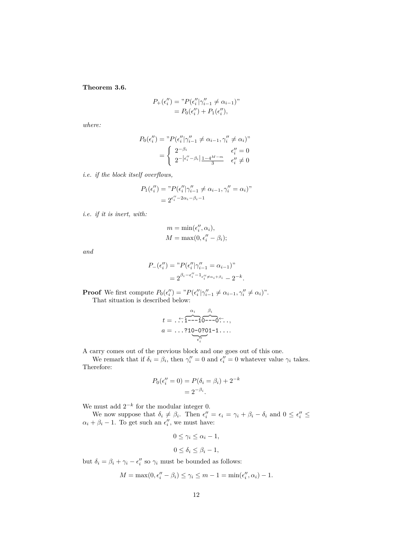<span id="page-11-0"></span>**Theorem 3.6.**

$$
P_{+}(\epsilon_{i}^{"}) = {}^{n}P(\epsilon_{i}^{"}|\gamma_{i-1}^{"} \neq \alpha_{i-1})"
$$
  
=  $P_{0}(\epsilon_{i}^{"}) + P_{1}(\epsilon_{i}^{"}),$ 

*where:*

$$
P_0(\epsilon_i'') = {}^{v}P(\epsilon_i''|\gamma_{i-1}'' \neq \alpha_{i-1}, \gamma_i'' \neq \alpha_i)''
$$
  
= 
$$
\begin{cases} 2^{-\beta_i} & \epsilon_i'' = 0\\ 2^{-|\epsilon_i'' - \beta_i|} \frac{1 - 4^{M - m}}{3} & \epsilon_i'' \neq 0 \end{cases}
$$

*i.e. if the block itself overflows,*

$$
P_1(\epsilon_i'') = "P(\epsilon_i''|\gamma_{i-1}'' \neq \alpha_{i-1}, \gamma_i'' = \alpha_i)"
$$
  
=  $2^{\epsilon_i'' - 2\alpha_i - \beta_i - 1}$ 

*i.e. if it is inert, with:*

$$
m = \min(\epsilon_i'', \alpha_i),
$$
  

$$
M = \max(0, \epsilon_i'' - \beta_i);
$$

*and*

$$
P_{-}(\epsilon_{i}^{"}) = "P(\epsilon_{i}^{"}|\gamma_{i-1}^{"}= \alpha_{i-1})"
$$
  
=  $2^{\beta_{i}-\epsilon_{i}^{"}-1_{\epsilon_{i}^{"} \neq \alpha_{i}+\beta_{i}} - 2^{-k}.$ 

**Proof** We first compute  $P_0(\epsilon_i'') = {}^{\nu}P(\epsilon_i''|\gamma_{i-1}'' \neq \alpha_{i-1}, \gamma_i'' \neq \alpha_i)$ ". That situation is described below:

$$
t = \dots \overbrace{1 \cdot \cdot \cdot 1}^{\alpha_i} \overbrace{1 \cdot \cdot \cdot 1}^{\beta_i} \overbrace{0 \cdot \cdot \cdot 0}^{\beta_i} \overbrace{0 \cdot \cdot \cdot 1}^{\beta_i} \dots
$$
  

$$
a = \dots \overbrace{t_i}^{\alpha_i} \overbrace{t_i}^{\beta_i} \dots
$$

A carry comes out of the previous block and one goes out of this one.

We remark that if  $\delta_i = \beta_i$ , then  $\gamma''_i = 0$  and  $\epsilon''_i = 0$  whatever value  $\gamma_i$  takes. Therefore:

$$
P_0(\epsilon_i'' = 0) = P(\delta_i = \beta_i) + 2^{-k} = 2^{-\beta_i}.
$$

We must add  $2^{-k}$  for the modular integer 0.

We now suppose that  $\delta_i \neq \beta_i$ . Then  $\epsilon''_i = \epsilon_i = \gamma_i + \beta_i - \delta_i$  and  $0 \leq \epsilon''_i \leq$  $\alpha_i + \beta_i - 1$ . To get such an  $\epsilon''_i$ , we must have:

$$
0 \le \gamma_i \le \alpha_i - 1,
$$
  

$$
0 \le \delta_i \le \beta_i - 1,
$$

but  $\delta_i = \beta_i + \gamma_i - \epsilon''_i$  so  $\gamma_i$  must be bounded as follows:

$$
M = \max(0, \epsilon_i'' - \beta_i) \le \gamma_i \le m - 1 = \min(\epsilon_i'', \alpha_i) - 1.
$$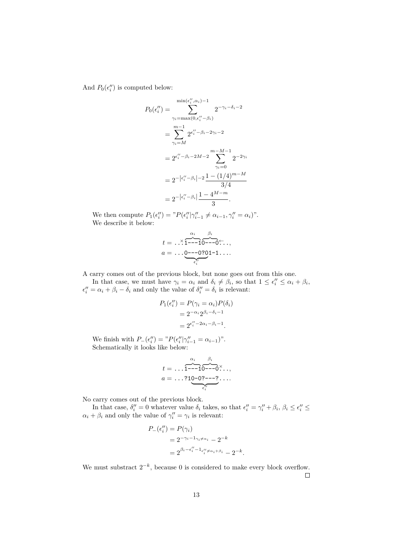And  $P_0(\epsilon_i'')$  is computed below:

$$
P_0(\epsilon_i'') = \sum_{\gamma_i = \max(0, \epsilon_i'' - \beta_i)}^{\min(\epsilon_i'', \alpha_i) - 1} 2^{-\gamma_i - \delta_i - 2}
$$
  
= 
$$
\sum_{\gamma_i = M}^{\min(0, \epsilon_i'' - \beta_i - 2\gamma_i - 2)} 2^{-\gamma_i - \delta_i - 2}
$$
  
= 
$$
2^{\epsilon_i'' - \beta_i - 2M - 2} \sum_{\gamma_i = 0}^{\min(0, \epsilon_i'' - \beta_i - 2M - 2)} 2^{-2\gamma_i}
$$
  
= 
$$
2^{-|\epsilon_i'' - \beta_i|} \frac{1 - (1/4)^{m-M}}{3/4}
$$
  
= 
$$
2^{-|\epsilon_i'' - \beta_i|} \frac{1 - 4^{M-m}}{3}.
$$

We then compute  $P_1(\epsilon_i'') = {}^{\nu}P(\epsilon_i''|\gamma_{i-1}'' \neq \alpha_{i-1}, \gamma_i'' = \alpha_i)$ ". We describe it below:

$$
t = \ldots \times 1 - 10 - 0 - 0 + \ldots
$$
  
\n
$$
a = \ldots 0 - 0.0201 - 1 \ldots
$$
  
\n
$$
\vdots
$$

A carry comes out of the previous block, but none goes out from this one.

In that case, we must have  $\gamma_i = \alpha_i$  and  $\delta_i \neq \beta_i$ , so that  $1 \leq \epsilon''_i \leq \alpha_i + \beta_i$ ,  $\epsilon''_i = \alpha_i + \beta_i - \delta_i$  and only the value of  $\delta''_i = \delta_i$  is relevant:

$$
P_1(\epsilon_i'') = P(\gamma_i = \alpha_i) P(\delta_i)
$$
  
=  $2^{-\alpha_i} 2^{\beta_i - \delta_i - 1}$   
=  $2^{\epsilon_i'' - 2\alpha_i - \beta_i - 1}$ .

We finish with  $P_-(\epsilon''_i) = {}^{\nu}P(\epsilon''_i|\gamma''_{i-1} = \alpha_{i-1})$ ". Schematically it looks like below:

$$
t = \ldots \overbrace{1 \cdots 1}^{\alpha_i} \overbrace{0 \cdots 0}^{\beta_i} \ldots
$$
  
\n
$$
a = \ldots ?1 \underbrace{0 \cdots 0 \cdots 2}_{\epsilon'_i} \cdots
$$

No carry comes out of the previous block.

In that case,  $\delta''_i = 0$  whatever value  $\delta_i$  takes, so that  $\epsilon''_i = \gamma''_i + \beta_i$ ,  $\beta_i \leq \epsilon''_i \leq$  $\alpha_i + \beta_i$  and only the value of  $\gamma_i'' = \gamma_i$  is relevant:

$$
P_{-}(\epsilon_i'') = P(\gamma_i)
$$
  
=  $2^{-\gamma_i - 1_{\gamma_i \neq \alpha_i}} - 2^{-k}$   
=  $2^{\beta_i - \epsilon_i'' - 1_{\epsilon_i'' \neq \alpha_i + \beta_i}} - 2^{-k}.$ 

We must substract  $2^{-k}$ , because 0 is considered to make every block overflow.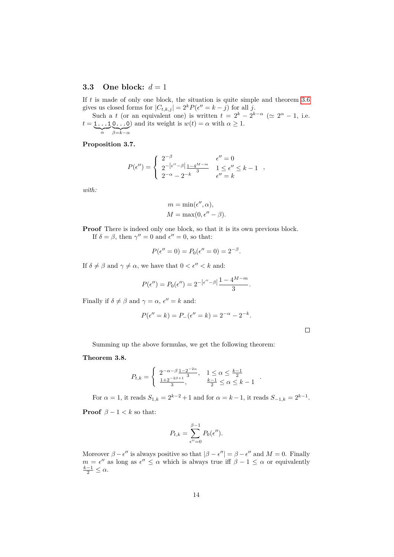### <span id="page-13-1"></span>**3.3** One block:  $d = 1$

If *t* is made of only one block, the situation is quite simple and theorem [3.6](#page-11-0) gives us closed forms for  $|C_{t,k,j}| = 2^k P(\epsilon'' = k - j)$  for all *j*.

Such a *t* (or an equivalent one) is written  $t = 2^k - 2^{k-\alpha}$  ( $\approx 2^{\alpha} - 1$ , i.e.  $t = 1 \dots 10 \dots 0$  and its weight is  $w(t) = \alpha$  with  $\alpha \ge 1$ . | {z } *α* | {z } *β*=*k*−*α*

**Proposition 3.7.**

$$
P(\epsilon'') = \begin{cases} 2^{-\beta} & \epsilon'' = 0 \\ 2^{-|\epsilon'' - \beta}| \frac{1 - 4^{M - m}}{3} & 1 \le \epsilon'' \le k - 1 \\ 2^{-\alpha} - 2^{-k} & \epsilon'' = k \end{cases}
$$

*with:*

$$
m = \min(\epsilon'', \alpha),
$$
  

$$
M = \max(0, \epsilon'' - \beta).
$$

**Proof** There is indeed only one block, so that it is its own previous block.

If  $\delta = \beta$ , then  $\gamma'' = 0$  and  $\epsilon'' = 0$ , so that:

$$
P(\epsilon'' = 0) = P_0(\epsilon'' = 0) = 2^{-\beta}.
$$

If  $\delta \neq \beta$  and  $\gamma \neq \alpha$ , we have that  $0 < \epsilon'' < k$  and:

$$
P(\epsilon'') = P_0(\epsilon'') = 2^{-\left|\epsilon'' - \beta\right|} \frac{1 - 4^{M-m}}{3}.
$$

Finally if  $\delta \neq \beta$  and  $\gamma = \alpha$ ,  $\epsilon'' = k$  and:

$$
P(\epsilon'' = k) = P_{-}(\epsilon'' = k) = 2^{-\alpha} - 2^{-k}.
$$

 $\Box$ 

Summing up the above formulas, we get the following theorem:

<span id="page-13-0"></span>**Theorem 3.8.**

$$
P_{t,k} = \begin{cases} 2^{-\alpha - \beta} \frac{1 - 2^{-2\alpha}}{3}, & 1 \leq \alpha \leq \frac{k-1}{2} \\ \frac{1 + 2^{-2\beta + 1}}{3}, & \frac{k-1}{2} \leq \alpha \leq k - 1 \end{cases}
$$

For  $\alpha = 1$ , it reads  $S_{1,k} = 2^{k-2} + 1$  and for  $\alpha = k - 1$ , it reads  $S_{-1,k} = 2^{k-1}$ .

**Proof**  $\beta - 1 < k$  so that:

$$
P_{t,k} = \sum_{\epsilon''=0}^{\beta-1} P_0(\epsilon'').
$$

Moreover  $\beta - \epsilon''$  is always positive so that  $|\beta - \epsilon''| = \beta - \epsilon''$  and  $M = 0$ . Finally  $m = e''$  as long as  $e'' \leq \alpha$  which is always true iff  $\beta - 1 \leq \alpha$  or equivalently  $\frac{k-1}{2} \leq \alpha$ .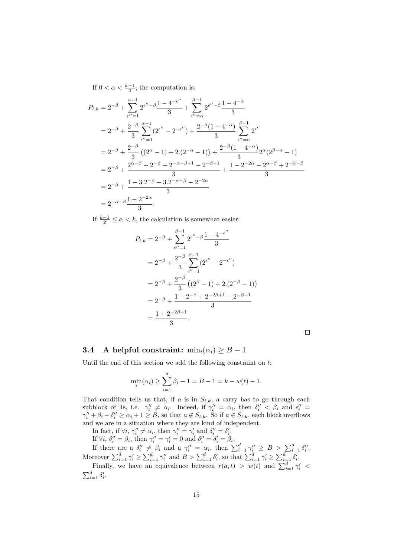If  $0 < \alpha < \frac{k-1}{2}$ , the computation is:

$$
P_{t,k} = 2^{-\beta} + \sum_{\epsilon''=1}^{\alpha-1} 2^{\epsilon''-\beta} \frac{1 - 4^{-\epsilon''}}{3} + \sum_{\epsilon''=\alpha}^{\beta-1} 2^{\epsilon''-\beta} \frac{1 - 4^{-\alpha}}{3}
$$
  
\n
$$
= 2^{-\beta} + \frac{2^{-\beta}}{3} \sum_{\epsilon''=1}^{\alpha-1} (2^{\epsilon''} - 2^{-\epsilon''}) + \frac{2^{-\beta}(1 - 4^{-\alpha})}{3} \sum_{\epsilon''=\alpha}^{\beta-1} 2^{\epsilon''}
$$
  
\n
$$
= 2^{-\beta} + \frac{2^{-\beta}}{3} ((2^{\alpha} - 1) + 2 \cdot (2^{-\alpha} - 1)) + \frac{2^{-\beta}(1 - 4^{-\alpha})}{3} 2^{\alpha} (2^{\beta - \alpha} - 1)
$$
  
\n
$$
= 2^{-\beta} + \frac{2^{\alpha-\beta} - 2^{-\beta} + 2^{-\alpha-\beta+1} - 2^{-\beta+1}}{3} + \frac{1 - 2^{-2\alpha} - 2^{\alpha-\beta} + 2^{-\alpha-\beta}}{3}
$$
  
\n
$$
= 2^{-\beta} + \frac{1 - 3 \cdot 2^{-\beta} - 3 \cdot 2^{-\alpha-\beta} - 2^{-2\alpha}}{3}
$$
  
\n
$$
= 2^{-\alpha-\beta} \frac{1 - 2^{-2\alpha}}{3}.
$$

If  $\frac{k-1}{2} \leq \alpha < k$ , the calculation is somewhat easier:

$$
P_{t,k} = 2^{-\beta} + \sum_{\epsilon''=1}^{\beta-1} 2^{\epsilon''-\beta} \frac{1 - 4^{-\epsilon''}}{3}
$$
  
=  $2^{-\beta} + \frac{2^{-\beta}}{3} \sum_{\epsilon''=1}^{\beta-1} (2^{\epsilon''} - 2^{-\epsilon''})$   
=  $2^{-\beta} + \frac{2^{-\beta}}{3} ((2^{\beta} - 1) + 2 \cdot (2^{-\beta} - 1))$   
=  $2^{-\beta} + \frac{1 - 2^{-\beta} + 2^{-2\beta+1} - 2^{-\beta+1}}{3}$   
=  $\frac{1 + 2^{-2\beta+1}}{3}$ .

## <span id="page-14-0"></span>**3.4** A helpful constraint:  $\min_i(\alpha_i) \geq B - 1$

Until the end of this section we add the following constraint on *t*:

$$
\min_{i}(\alpha_{i}) \ge \sum_{i=1}^{d} \beta_{i} - 1 = B - 1 = k - w(t) - 1.
$$

That condition tells us that, if  $a$  is in  $S_{t,k}$ , a carry has to go through each subblock of 1s, i.e.  $\gamma''_i \neq \alpha_i$ . Indeed, if  $\gamma''_i = \alpha_i$ , then  $\delta''_i < \beta_i$  and  $\epsilon''_i =$  $\gamma''_i + \beta_i - \delta''_i \geq \alpha_i + 1 \geq B$ , so that  $a \notin S_{t,k}$ . So if  $a \in S_{t,k}$ , each block overflows and we are in a situation where they are kind of independent.

In fact, if  $\forall i, \gamma''_i \neq \alpha_i$ , then  $\gamma''_i = \gamma'_i$  and  $\delta''_i = \delta'_i$ .

If  $\forall i, \delta''_i = \beta_i$ , then  $\gamma''_i = \gamma'_i = 0$  and  $\delta''_i = \delta'_i = \beta_i$ . If there are a  $\delta''_i \neq \beta_i$  and a  $\gamma''_i = \alpha_i$ , then  $\sum_{i=1}^d \gamma''_i \geq B > \sum_{i=1}^d \delta''_i$ . Moreover  $\sum_{i=1}^d \gamma'_i \ge \sum_{i=1}^d \gamma''_i$  and  $B > \sum_{i=1}^d \delta'_i$ , so that  $\sum_{i=1}^d \gamma'_i \ge \sum_{i=1}^d \delta'_i$ .

Finally, we have an equivalence between  $r(a,t) > w(t)$  and  $\sum_{i=1}^{d} \gamma_i' <$  $\sum_{i=1}^d \delta_i'$ .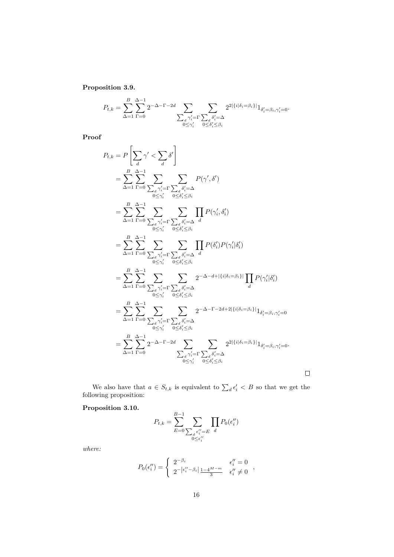**Proposition 3.9.**

$$
P_{t,k} = \sum_{\Delta=1}^{B} \sum_{\Gamma=0}^{\Delta-1} 2^{-\Delta-\Gamma-2d} \sum_{\substack{\sum_{d} \gamma'_i = \Gamma \\ 0 \le \gamma'_i}} \sum_{\substack{\sum_{d} \delta'_i = \Delta \\ 0 \le \delta'_i \le \beta_i}} 2^{2|\{i|\delta_i = \beta_i\}|} 1_{\delta'_i = \beta_i, \gamma'_i = 0}.
$$

**Proof**

$$
P_{t,k} = P\left[\sum_{d} \gamma' < \sum_{d} \delta'\right]
$$
\n
$$
= \sum_{\Delta=1}^{B} \sum_{\Gamma=0}^{\Delta-1} \sum_{\sum_{d} \gamma'_i = \Gamma} \sum_{\sum_{d} \delta'_i = \Delta} P(\gamma', \delta')
$$
\n
$$
= \sum_{\Delta=1}^{B} \sum_{\Gamma=0}^{\Delta-1} \sum_{\sum_{d} \gamma'_i = \Gamma} \sum_{\sum_{d} \delta'_i = \Delta} \sum_{d} P(\gamma', \delta')
$$
\n
$$
= \sum_{\Delta=1}^{B} \sum_{\Gamma=0}^{\Delta-1} \sum_{\sum_{d} \gamma'_i = \Gamma} \sum_{\sum_{d} \delta'_i = \Delta} \frac{\delta'_i = \Delta}{d}
$$
\n
$$
= \sum_{\Delta=1}^{B} \sum_{\Gamma=0}^{\Delta-1} \sum_{\sum_{d} \gamma'_i = \Gamma} \sum_{\sum_{d} \delta'_i = \Delta} \frac{\delta'_i = \Delta}{d}
$$
\n
$$
= \sum_{\Delta=1}^{B} \sum_{\Gamma=0}^{\Delta-1} \sum_{\sum_{d} \gamma'_i = \Gamma} \sum_{\sum_{d} \delta'_i = \Delta} \frac{2^{-\Delta - d + |\{i | \delta_i = \beta_i\}|}{\Gamma} P(\gamma'_i | \delta'_i)
$$
\n
$$
= \sum_{\Delta=1}^{B} \sum_{\Gamma=0}^{\Delta-1} \sum_{\sum_{d} \gamma'_i = \Gamma} \sum_{\sum_{d} \delta'_i = \Delta} \frac{2^{-\Delta - d + |\{i | \delta_i = \beta_i\}|}{\Gamma} P(\gamma'_i | \delta'_i)
$$
\n
$$
= \sum_{\Delta=1}^{B} \sum_{\Gamma=0}^{\Delta-1} \sum_{\sum_{d} \gamma'_i = \Gamma} \sum_{\sum_{d} \delta'_i = \Delta} \frac{2^{-\Delta - \Gamma - 2d + 2|\{i | \delta_i = \beta_i\}|}{\Gamma} \frac{1}{\delta'_i = \beta_i, \gamma'_i = 0}}{1 - \sum_{d} \gamma'_i = \Gamma} \sum_{\sum_{d} \delta'_i \le \beta_i} \frac{2^{2|\{i | \delta_i = \beta_i\}|} \frac{1}{\delta'_i = \beta_i, \gamma'_i = 0}}{1 - \sum_{d} \
$$

We also have that  $a \in S_{t,k}$  is equivalent to  $\sum_{d} \epsilon_i' < B$  so that we get the following proposition:

 $\Box$ 

## <span id="page-15-0"></span>**Proposition 3.10.**

$$
P_{t,k} = \sum_{E=0}^{B-1} \sum_{\substack{S \subset \{i' = E \\ 0 \le \epsilon_i''}} \prod_{d} P_0(\epsilon_i'')
$$

*where:*

$$
P_0(\epsilon_i'') = \begin{cases} 2^{-\beta_i} & \epsilon_i'' = 0 \\ 2^{-|\epsilon_i'' - \beta_i|} \frac{1 - 4^{M-m}}{3} & \epsilon_i'' \neq 0 \end{cases}
$$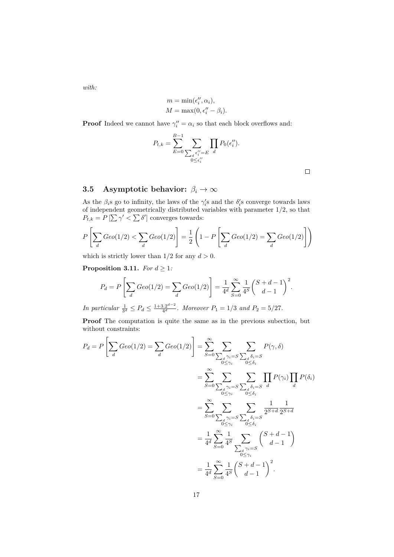*with:*

$$
m = \min(\epsilon_i'', \alpha_i),
$$
  

$$
M = \max(0, \epsilon_i'' - \beta_i).
$$

**Proof** Indeed we cannot have  $\gamma''_i = \alpha_i$  so that each block overflows and:

$$
P_{t,k} = \sum_{E=0}^{B-1} \sum_{\substack{\sum_{d} \epsilon_i'' = E\\0 \le \epsilon_i''}} \prod_{d} P_0(\epsilon_i'').
$$

 $\Box$ 

# <span id="page-16-0"></span>**3.5 Asymptotic behavior:**  $\beta_i \to \infty$

As the  $\beta_i$ s go to infinity, the laws of the  $\gamma'_i$ s and the  $\delta'_i$ s converge towards laws of independent geometrically distributed variables with parameter 1*/*2, so that  $P_{t,k} = P\left[\sum \gamma' < \sum \delta'\right]$  converges towards:

$$
P\left[\sum_{d} Geo(1/2) < \sum_{d} Geo(1/2)\right] = \frac{1}{2}\left(1 - P\left[\sum_{d} Geo(1/2) = \sum_{d} Geo(1/2)\right]\right)
$$

which is strictly lower than  $1/2$  for any  $d > 0$ .

**Proposition 3.11.** *For*  $d \geq 1$ *:* 

$$
P_d = P\left[\sum_d Geo(1/2) = \sum_d Geo(1/2)\right] = \frac{1}{4^d} \sum_{S=0}^{\infty} \frac{1}{4^S} {S+d-1 \choose d-1}^2.
$$

*In particular*  $\frac{1}{3^d} \leq P_d \leq \frac{1+3.2^{d-2}}{4^d}$  $\frac{3.2^{a-2}}{4^d}$ . Moreover  $P_1 = 1/3$  and  $P_2 = 5/27$ .

**Proof** The computation is quite the same as in the previous subection, but without constraints:

$$
P_d = P\left[\sum_d \text{Geo}(1/2) = \sum_d \text{Geo}(1/2)\right] = \sum_{S=0}^{\infty} \sum_{\substack{\sum_d \gamma_i = S \\ 0 \le \gamma_i}} \sum_{\substack{\sum_d \delta_i = S \\ 0 \le \delta_i}} P(\gamma, \delta)
$$

$$
= \sum_{S=0}^{\infty} \sum_{\substack{\sum_d \gamma_i = S \\ 0 \le \gamma_i}} \sum_{\substack{\sum_d \delta_i = S \\ 0 \le \delta_i}} \prod_d P(\gamma_i) \prod_d P(\delta_i)
$$

$$
= \sum_{S=0}^{\infty} \sum_{\substack{\sum_d \gamma_i = S \\ 0 \le \gamma_i}} \sum_{\substack{\sum_d \delta_i = S \\ 0 \le \delta_i}} \frac{1}{2^{S+d}} \frac{1}{2^{S+d}}
$$

$$
= \frac{1}{4^d} \sum_{S=0}^{\infty} \frac{1}{4^S} \sum_{\substack{\sum_d \gamma_i = S \\ 0 \le \gamma_i}} {S+d-1 \choose d-1}
$$

$$
= \frac{1}{4^d} \sum_{S=0}^{\infty} \frac{1}{4^S} {S+d-1 \choose d-1}^2.
$$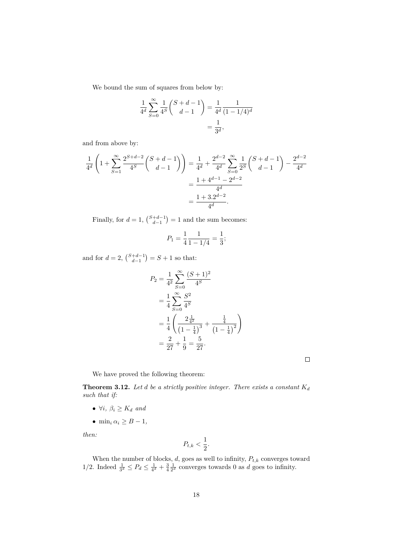We bound the sum of squares from below by:

$$
\frac{1}{4^d} \sum_{S=0}^{\infty} \frac{1}{4^S} {S+d-1 \choose d-1} = \frac{1}{4^d} \frac{1}{(1-1/4)^d}
$$

$$
= \frac{1}{3^d},
$$

and from above by:

$$
\frac{1}{4^d} \left( 1 + \sum_{S=1}^{\infty} \frac{2^{S+d-2}}{4^S} {S+d-1 \choose d-1} \right) = \frac{1}{4^d} + \frac{2^{d-2}}{4^d} \sum_{S=0}^{\infty} \frac{1}{2^S} {S+d-1 \choose d-1} - \frac{2^{d-2}}{4^d}
$$

$$
= \frac{1+4^{d-1}-2^{d-2}}{4^d}
$$

$$
= \frac{1+3.2^{d-2}}{4^d}.
$$

Finally, for  $d = 1$ ,  $\binom{S+d-1}{d-1} = 1$  and the sum becomes:

$$
P_1 = \frac{1}{4} \frac{1}{1 - 1/4} = \frac{1}{3};
$$

and for  $d = 2$ ,  $\binom{S+d-1}{d-1} = S + 1$  so that:

$$
P_2 = \frac{1}{4^2} \sum_{S=0}^{\infty} \frac{(S+1)^2}{4^S}
$$
  
=  $\frac{1}{4} \sum_{S=0}^{\infty} \frac{S^2}{4^S}$   
=  $\frac{1}{4} \left( \frac{2\frac{1}{4^2}}{(1-\frac{1}{4})^3} + \frac{\frac{1}{4}}{(1-\frac{1}{4})^2} \right)$   
=  $\frac{2}{27} + \frac{1}{9} = \frac{5}{27}.$ 

 $\Box$ 

We have proved the following theorem:

<span id="page-17-0"></span>**Theorem 3.12.** Let  $d$  be a strictly positive integer. There exists a constant  $K_d$ *such that if:*

- $\forall i, \beta_i \geq K_d$  *and*
- min<sub>i</sub>  $\alpha_i \geq B-1$ ,

*then:*

$$
P_{t,k}<\frac{1}{2}.
$$

When the number of blocks,  $d$ , goes as well to infinity,  $P_{t,k}$  converges toward 1/2. Indeed  $\frac{1}{3^d} \leq P_d \leq \frac{1}{4^d} + \frac{3}{4} \frac{1}{2^d}$  converges towards 0 as *d* goes to infinity.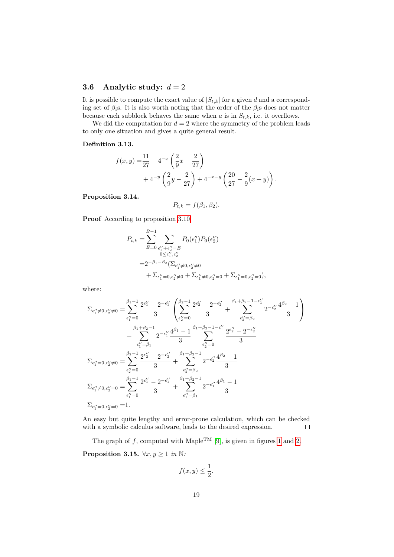### **3.6** Analytic study:  $d = 2$

It is possible to compute the exact value of  $|S_{t,k}|$  for a given *d* and a corresponding set of  $\beta_i$ s. It is also worth noting that the order of the  $\beta_i$ s does not matter because each subblock behaves the same when  $a$  is in  $S_{t,k}$ , i.e. it overflows.

We did the computation for  $d = 2$  where the symmetry of the problem leads to only one situation and gives a quite general result.

#### **Definition 3.13.**

$$
f(x,y) = \frac{11}{27} + 4^{-x} \left(\frac{2}{9}x - \frac{2}{27}\right) + 4^{-x} \left(\frac{2}{9}y - \frac{2}{27}\right) + 4^{-x-y} \left(\frac{20}{27} - \frac{2}{9}(x+y)\right).
$$

#### **Proposition 3.14.**

$$
P_{t,k} = f(\beta_1, \beta_2).
$$

**Proof** According to proposition [3.10:](#page-15-0)

$$
P_{t,k} = \sum_{E=0}^{B-1} \sum_{\substack{\epsilon_1'' + \epsilon_2'' = E \\ 0 \le \epsilon_1'', \epsilon_2'' \\ = 2^{-\beta_1 - \beta_2} (\sum_{\epsilon_1'' \neq 0, \epsilon_2'' \neq 0} (\sum_{\epsilon_1'' \neq 0, \epsilon_2'' \neq 0} + \sum_{\epsilon_1'' \neq 0, \epsilon_2'' = 0} + \sum_{\epsilon_1'' = 0, \epsilon_2'' = 0}),
$$

where:

$$
\begin{split} \Sigma_{\epsilon_{1}^{\prime\prime}\neq0,\epsilon_{2}^{\prime\prime}\neq0}&=\sum_{\epsilon_{1}^{\prime\prime}=0}^{\beta_{1}-1}\frac{2^{\epsilon_{1}^{\prime\prime}}-2^{-\epsilon_{1}^{\prime\prime}}}{3}\left(\sum_{\epsilon_{2}^{\prime\prime}=0}^{\beta_{2}-1}\frac{2^{\epsilon_{2}^{\prime\prime}}-2^{-\epsilon_{2}^{\prime\prime}}}{3}+\sum_{\epsilon_{2}^{\prime\prime}=\beta_{2}}^{\beta_{1}+\beta_{2}-1-\epsilon_{1}^{\prime\prime}}}{2^{-\epsilon_{2}^{\prime\prime}}}\frac{4^{\beta_{2}}-1}{3}\right)\\ &+\sum_{\epsilon_{1}^{\prime\prime}=\beta_{1}}^{\beta_{1}+\beta_{2}-1}2^{-\epsilon_{1}^{\prime\prime}}\frac{4^{\beta_{1}}-1}{3}\sum_{\epsilon_{2}^{\prime\prime}=0}^{\beta_{1}+\beta_{2}-1-\epsilon_{1}^{\prime\prime}}\frac{2^{\epsilon_{2}^{\prime\prime}}-2^{-\epsilon_{2}^{\prime\prime}}}{3}\\ \Sigma_{\epsilon_{1}^{\prime\prime}=0,\epsilon_{2}^{\prime\prime}\neq0}&=\sum_{\epsilon_{2}^{\prime\prime}=0}^{\beta_{2}-1}\frac{2^{\epsilon_{2}^{\prime\prime}}-2^{-\epsilon_{2}^{\prime\prime}}}{3}+\sum_{\epsilon_{2}^{\prime\prime}=\beta_{2}}^{\beta_{1}+\beta_{2}-1}2^{-\epsilon_{2}^{\prime\prime}}\frac{4^{\beta_{2}}-1}{3}\\ \Sigma_{\epsilon_{1}^{\prime\prime}\neq0,\epsilon_{2}^{\prime\prime}=0}&=\sum_{\epsilon_{1}^{\prime\prime}=0}^{\beta_{1}-1}\frac{2^{\epsilon_{1}^{\prime\prime}}-2^{-\epsilon_{1}^{\prime\prime}}}{3}+\sum_{\epsilon_{1}^{\prime\prime}=\beta_{1}}^{\beta_{1}+\beta_{2}-1}2^{-\epsilon_{1}^{\prime\prime}}\frac{4^{\beta_{1}}-1}{3}\\ \Sigma_{\epsilon_{1}^{\prime\prime}=0,\epsilon_{2}^{\prime\prime}=0}&=1. \end{split}
$$

An easy but quite lengthy and error-prone calculation, which can be checked with a symbolic calculus software, leads to the desired expression.  $\Box$ 

The graph of  $f$ , computed with Maple<sup>TM</sup> [\[9\]](#page-25-6), is given in figures [1](#page-19-0) and [2.](#page-19-1) **Proposition 3.15.**  $\forall x, y \geq 1$  *in* N:

$$
f(x,y) \le \frac{1}{2}.
$$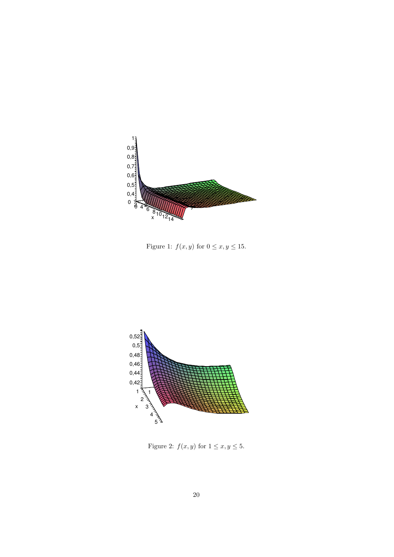

<span id="page-19-0"></span>Figure 1:  $f(x, y)$  for  $0 \le x, y \le 15$ .



<span id="page-19-1"></span>Figure 2:  $f(x, y)$  for  $1 \le x, y \le 5$ .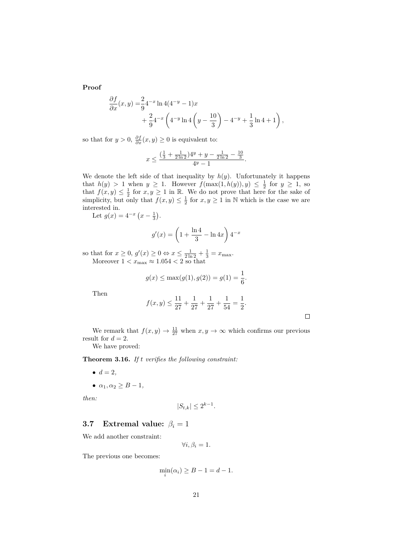**Proof**

$$
\frac{\partial f}{\partial x}(x,y) = \frac{2}{9} 4^{-x} \ln 4(4^{-y} - 1)x \n+ \frac{2}{9} 4^{-x} \left( 4^{-y} \ln 4 \left( y - \frac{10}{3} \right) - 4^{-y} + \frac{1}{3} \ln 4 + 1 \right),
$$

so that for  $y > 0$ ,  $\frac{\partial f}{\partial x}(x, y) \ge 0$  is equivalent to:

$$
x \le \frac{\left(\frac{1}{3} + \frac{1}{2\ln 2}\right)4^y + y - \frac{1}{2\ln 2} - \frac{10}{3}}{4^y - 1}.
$$

We denote the left side of that inequality by  $h(y)$ . Unfortunately it happens that  $h(y) > 1$  when  $y \ge 1$ . However  $f(\max(1, h(y)), y) \le \frac{1}{2}$  for  $y \ge 1$ , so that  $f(x, y) \leq \frac{1}{2}$  for  $x, y \geq 1$  in R. We do not prove that here for the sake of simplicity, but only that  $f(x, y) \leq \frac{1}{2}$  for  $x, y \geq 1$  in N which is the case we are interested in.

Let  $g(x) = 4^{-x} (x - \frac{1}{3}).$ 

$$
g'(x) = \left(1 + \frac{\ln 4}{3} - \ln 4x\right) 4^{-x}
$$

so that for  $x \ge 0$ ,  $g'(x) \ge 0 \Leftrightarrow x \le \frac{1}{2 \ln 2} + \frac{1}{3} = x_{\max}$ . Moreover  $1 < x_{\text{max}} \approx 1.054 < 2$  so that

$$
g(x) \le \max(g(1), g(2)) = g(1) = \frac{1}{6}.
$$

Then

$$
f(x,y) \le \frac{11}{27} + \frac{1}{27} + \frac{1}{27} + \frac{1}{54} = \frac{1}{2}.
$$

 $\Box$ 

We remark that  $f(x, y) \to \frac{11}{27}$  when  $x, y \to \infty$  which confirms our previous result for  $d = 2$ .

We have proved:

<span id="page-20-1"></span>**Theorem 3.16.** *If t verifies the following constraint:*

- $d = 2$ ,
- $\bullet$   $\alpha_1, \alpha_2 \geq B-1$ ,

*then:*

$$
|S_{t,k}| \le 2^{k-1}.
$$

### <span id="page-20-0"></span>**3.7** Extremal value:  $\beta_i = 1$

We add another constraint:

$$
\forall i, \beta_i = 1.
$$

The previous one becomes:

$$
\min_i(\alpha_i) \ge B - 1 = d - 1.
$$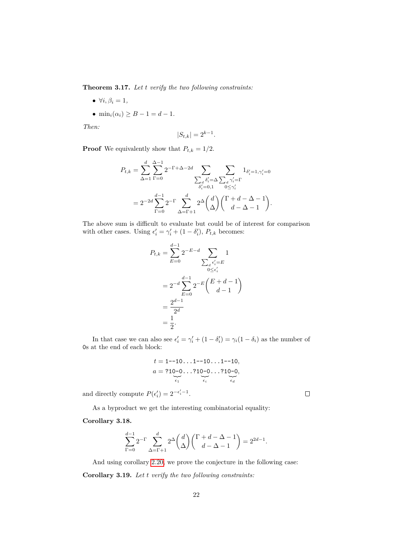<span id="page-21-0"></span>**Theorem 3.17.** *Let t verify the two following constraints:*

- $\forall i, \beta_i = 1,$
- $\min_i(\alpha_i) \ge B 1 = d 1$ .

*Then:*

$$
|S_{t,k}| = 2^{k-1}.
$$

 $\bf{Proof}$  We equivalently show that  $P_{t,k}=1/2.$ 

$$
P_{t,k} = \sum_{\Delta=1}^{d} \sum_{\Gamma=0}^{\Delta-1} 2^{-\Gamma+\Delta-2d} \sum_{\substack{\sum_{d} \delta_i' = \Delta \\ \delta_i' = 0,1}} \sum_{\substack{\sum_{d} \gamma_i' = \Gamma \\ 0 \le \gamma_i' \\ \Delta = \Gamma+1}} 1_{\delta_i' = 1, \gamma_i' = 0}
$$
  
= 
$$
2^{-2d} \sum_{\Gamma=0}^{d-1} 2^{-\Gamma} \sum_{\Delta=\Gamma+1}^{d} 2^{\Delta} \binom{d}{\Delta} \binom{\Gamma+d-\Delta-1}{d-\Delta-1}.
$$

The above sum is difficult to evaluate but could be of interest for comparison with other cases. Using  $\epsilon'_i = \gamma'_i + (1 - \delta'_i), P_{t,k}$  becomes:

$$
P_{t,k} = \sum_{E=0}^{d-1} 2^{-E-d} \sum_{\substack{0 \le \epsilon_i' = E \\ 0 \le \epsilon_i' \\ E=0}} 1
$$
  
=  $2^{-d} \sum_{E=0}^{d-1} 2^{-E} {E + d - 1 \choose d - 1}$   
=  $\frac{2^{d-1}}{2^d}$   
=  $\frac{1}{2}$ .

In that case we can also see  $\epsilon'_i = \gamma'_i + (1 - \delta'_i) = \gamma_i(1 - \delta_i)$  as the number of 0s at the end of each block:

$$
t = 1 - 10 \dots 1 - 10 \dots 1 - 10,
$$
  
\n
$$
a = ?10 - 0 \dots ?10 - 0 \dots ?10 - 0,
$$
  
\n
$$
\sum_{\epsilon_1} \sum_{\epsilon_i} \sum_{\epsilon_i} \sum_{\epsilon_i} \epsilon_i
$$

and directly compute  $P(\epsilon'_i) = 2^{-\epsilon'_i - 1}$ .

As a byproduct we get the interesting combinatorial equality:

#### **Corollary 3.18.**

$$
\sum_{\Gamma=0}^{d-1} 2^{-\Gamma} \sum_{\Delta=\Gamma+1}^d 2^{\Delta} \binom{d}{\Delta} \binom{\Gamma+d-\Delta-1}{d-\Delta-1} = 2^{2d-1}.
$$

And using corollary [2.20,](#page-6-0) we prove the conjecture in the following case: **Corollary 3.19.** *Let t verify the two following constraints:*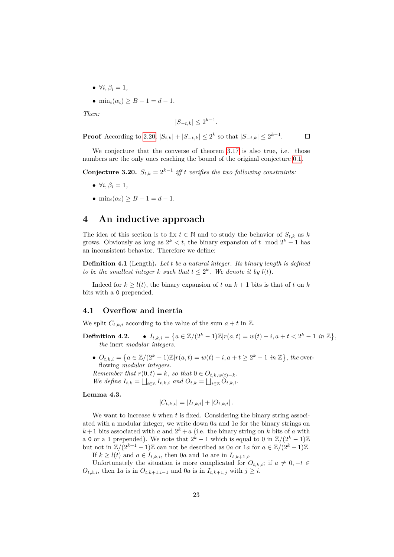- $\bullet \forall i, \beta_i = 1,$
- $\min_i(\alpha_i) \ge B 1 = d 1$ .

*Then:*

$$
|S_{-t,k}| \le 2^{k-1}.
$$

**Proof** According to [2.20,](#page-6-0)  $|S_{t,k}| + |S_{-t,k}| \leq 2^k$  so that  $|S_{-t,k}| \leq 2^{k-1}$ .  $\Box$ 

We conjecture that the converse of theorem [3.17](#page-21-0) is also true, i.e. those numbers are the only ones reaching the bound of the original conjecture [0.1.](#page-0-0)

<span id="page-22-0"></span>**Conjecture 3.20.**  $S_{t,k} = 2^{k-1}$  *iff t verifies the two following constraints:* 

- $\forall i, \beta_i = 1,$
- min<sub>*i*</sub>( $\alpha$ <sub>*i*</sub>) > *B* − 1 = *d* − 1*.*

## <span id="page-22-1"></span>**4 An inductive approach**

The idea of this section is to fix  $t \in \mathbb{N}$  and to study the behavior of  $S_{t,k}$  as *k* grows. Obviously as long as  $2^k < t$ , the binary expansion of  $t \mod 2^k - 1$  has an inconsistent behavior. Therefore we define:

**Definition 4.1** (Length)**.** *Let t be a natural integer. Its binary length is defined to be the smallest integer k such that*  $t \leq 2^k$ *. We denote it by*  $l(t)$ *.* 

Indeed for  $k \geq l(t)$ , the binary expansion of t on  $k+1$  bits is that of t on k bits with a 0 prepended.

#### **4.1 Overflow and inertia**

We split  $C_{t,k,i}$  according to the value of the sum  $a + t$  in  $\mathbb{Z}$ .

- **Definition 4.2.**  $I_{t,k,i} = \left\{ a \in \mathbb{Z}/(2^k 1)\mathbb{Z} | r(a,t) = w(t) i, a + t < 2^k 1 \text{ in } \mathbb{Z} \right\},\$ *the* inert *modular integers.*
	- $O_{t,k,i} = \{a \in \mathbb{Z}/(2^k-1)\mathbb{Z}|r(a,t) = w(t) i, a + t \geq 2^k 1 \text{ in } \mathbb{Z}\},\$ the overflowing *modular integers.*

*Remember that*  $r(0,t) = k$ *, so that*  $0 \in O_{t,k,w(t)-k}$ . *We define*  $I_{t,k} = \bigsqcup_{i \in \mathbb{Z}} I_{t,k,i}$  and  $O_{t,k} = \bigsqcup_{i \in \mathbb{Z}} O_{t,k,i}$ .

#### **Lemma 4.3.**

$$
|C_{t,k,i}| = |I_{t,k,i}| + |O_{t,k,i}|.
$$

We want to increase *k* when *t* is fixed. Considering the binary string associated with a modular integer, we write down 0*a* and 1*a* for the binary strings on  $k+1$  bits associated with *a* and  $2^k + a$  (i.e. the binary string on *k* bits of *a* with a 0 or a 1 prepended). We note that  $2^k - 1$  which is equal to 0 in  $\mathbb{Z}/(2^k - 1)\mathbb{Z}$ but not in  $\mathbb{Z}/(2^{k+1}-1)\mathbb{Z}$  can not be described as 0*a* or 1*a* for  $a \in \mathbb{Z}/(2^{k}-1)\mathbb{Z}$ .

If  $k \geq l(t)$  and  $a \in I_{t,k,i}$ , then 0*a* and 1*a* are in  $I_{t,k+1,i}$ .

Unfortunately the situation is more complicated for  $O_{t,k,i}$ ; if  $a \neq 0, -t \in$ *O*<sup>*t*</sup>,*k*,*i*</sub>, then 1*a* is in *O*<sup>*t*</sup>,*k*+1,*i*−1 and 0*a* is in *I*<sub>*t*</sub>,*k*+1,*j* with *j* ≥ *i*.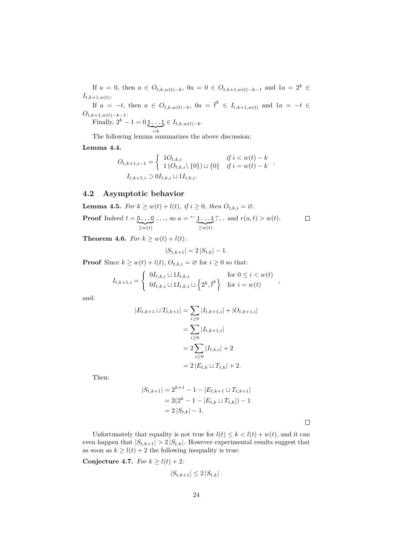If *a* = 0, then *a* ∈  $O_{t,k,w(t)-k}$ , 0*a* = 0 ∈  $O_{t,k+1,w(t)-k-1}$  and 1*a* = 2<sup>*k*</sup> ∈  $I_{t,k+1,w(t)}$ .

If  $a = -t$ , then  $a \in O_{t,k,w(t)-k}$ ,  $0a = \overline{t}^k \in I_{t,k+1,w(t)}$  and  $1a = -t \in$  $O_{t,k+1,w(t)-k-1}$ .

Finally, 
$$
2^k - 1 = 0 \underbrace{1 \dots 1}_{=k} \in I_{t,k,w(t)-k}
$$
.

 $\overrightarrow{z_k}$ <br>The following lemma summarizes the above discussion:

**Lemma 4.4.**

$$
O_{t,k+1,i-1} = \begin{cases} 1O_{t,k,i} & \text{if } i < w(t) - k \\ 1 (O_{t,k,i} \setminus \{0\}) \sqcup \{0\} & \text{if } i = w(t) - k \end{cases},
$$
  

$$
I_{t,k+1,i} \supset 0 I_{t,k,i} \sqcup 1 I_{t,k,i}.
$$

### **4.2 Asymptotic behavior**

**Lemma 4.5.** *For*  $k \geq w(t) + l(t)$ *, if*  $i \geq 0$ *, then*  $O_{t,k,i} = \emptyset$ *.* 

**Proof** Indeed 
$$
t = 0...0...
$$
, so  $a = \underbrace{\leftarrow 1...1}_{\geq w(t)}$ .  $\square$  and  $r(a,t) > w(t)$ .  $\square$ 

**Theorem 4.6.** *For*  $k \geq w(t) + l(t)$ *:* 

$$
|S_{t,k+1}| = 2|S_{t,k}| - 1.
$$

**Proof** Since  $k \geq w(t) + l(t)$ ,  $O_{t,k,i} = \emptyset$  for  $i \geq 0$  so that:

$$
I_{t,k+1,i} = \begin{cases} 0I_{t,k,i} \sqcup 1I_{t,k,i} & \text{for } 0 \le i < w(t) \\ 0I_{t,k,i} \sqcup 1I_{t,k,i} \sqcup \left\{2^k, \overline{t}^k\right\} & \text{for } i = w(t) \end{cases}
$$

and:

$$
|E_{t,k+1} \sqcup T_{t,k+1}| = \sum_{i \ge 0} |I_{t,k+1,i}| + |O_{t,k+1,i}|
$$
  
= 
$$
\sum_{i \ge 0} |I_{t,k+1,i}|
$$
  
= 
$$
2 \sum_{i \ge 0} |I_{t,k,i}| + 2
$$
  
= 
$$
2 |E_{t,k} \sqcup T_{t,k}| + 2.
$$

Then:

$$
|S_{t,k+1}| = 2^{k+1} - 1 - |E_{t,k+1} \cup T_{t,k+1}|
$$
  
= 2(2<sup>k</sup> - 1 - |E\_{t,k} \cup T\_{t,k}|) - 1  
= 2|S\_{t,k}| - 1.

 $\Box$ 

*,*

Unfortunately that equality is not true for  $l(t) \leq k < l(t) + w(t)$ , and it can even happen that  $|S_{t,k+1}| > 2 |S_{t,k}|$ . However experimental results suggest that as soon as  $k \geq l(t) + 2$  the following inequality is true:

**Conjecture 4.7.** *For*  $k \ge l(t) + 2$ *:* 

$$
|S_{t,k+1}| \leq 2 |S_{t,k}|.
$$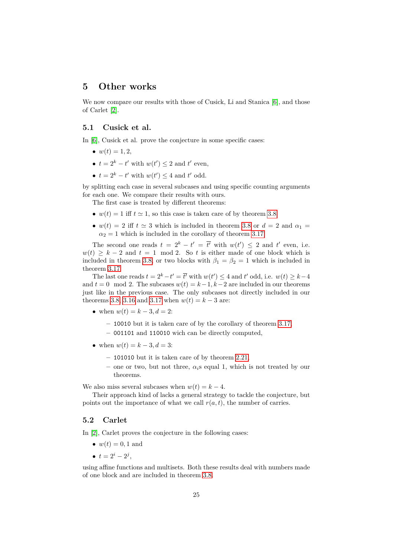## <span id="page-24-0"></span>**5 Other works**

We now compare our results with those of Cusick, Li and Stanica [\[6\]](#page-25-7), and those of Carlet [\[2\]](#page-25-8).

### **5.1 Cusick et al.**

In [\[6\]](#page-25-7), Cusick et al. prove the conjecture in some specific cases:

- $w(t) = 1, 2,$
- $t = 2^k t'$  with  $w(t') \leq 2$  and  $t'$  even,
- $t = 2^k t'$  with  $w(t') \leq 4$  and  $t'$  odd.

by splitting each case in several subcases and using specific counting arguments for each one. We compare their results with ours.

The first case is treated by different theorems:

- $w(t) = 1$  iff  $t \approx 1$ , so this case is taken care of by theorem [3.8.](#page-13-0)
- $w(t) = 2$  iff  $t \approx 3$  which is included in theorem [3.8](#page-13-0) or  $d = 2$  and  $\alpha_1 =$  $\alpha_2 = 1$  which is included in the corollary of theorem [3.17.](#page-21-0)

The second one reads  $t = 2^k - t' = \overline{t'}$  with  $w(t') \leq 2$  and  $t'$  even, i.e.  $w(t) \geq k - 2$  and  $t = 1 \mod 2$ . So *t* is either made of one block which is included in theorem [3.8,](#page-13-0) or two blocks with  $\beta_1 = \beta_2 = 1$  which is included in theorem [3.17.](#page-21-0)

The last one reads  $t = 2^k - t' = \overline{t'}$  with  $w(t') \leq 4$  and  $t'$  odd, i.e.  $w(t) \geq k - 4$ and  $t = 0$  mod 2. The subcases  $w(t) = k-1, k-2$  are included in our theorems just like in the previous case. The only subcases not directly included in our theorems [3.8,](#page-13-0) [3.16](#page-20-1) and [3.17](#page-21-0) when  $w(t) = k - 3$  are:

- when  $w(t) = k 3, d = 2$ :
	- **–** 10010 but it is taken care of by the corollary of theorem [3.17,](#page-21-0)
	- **–** 001101 and 110010 wich can be directly computed,
- when  $w(t) = k 3, d = 3$ :
	- **–** 101010 but it is taken care of by theorem [2.21,](#page-6-1)
	- **–** one or two, but not three, *αi*s equal 1, which is not treated by our theorems.

We also miss several subcases when  $w(t) = k - 4$ .

Their approach kind of lacks a general strategy to tackle the conjecture, but points out the importance of what we call  $r(a, t)$ , the number of carries.

#### **5.2 Carlet**

In [\[2\]](#page-25-8), Carlet proves the conjecture in the following cases:

- $w(t) = 0, 1$  and
- $t = 2^i 2^j$ ,

using affine functions and multisets. Both these results deal with numbers made of one block and are included in theorem [3.8.](#page-13-0)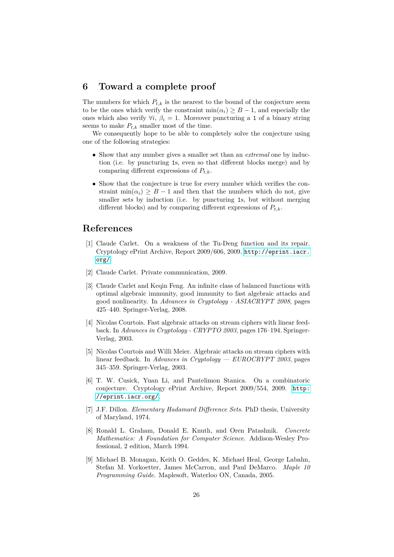## **6 Toward a complete proof**

The numbers for which  $P_{t,k}$  is the nearest to the bound of the conjecture seem to be the ones which verify the constraint  $\min(\alpha_i) \geq B - 1$ , and especially the ones which also verify  $\forall i, \beta_i = 1$ . Moreover puncturing a 1 of a binary string seems to make  $P_{t,k}$  smaller most of the time.

We consequently hope to be able to completely solve the conjecture using one of the following strategies:

- Show that any number gives a smaller set than an *extremal* one by induction (i.e. by puncturing 1s, even so that different blocks merge) and by comparing different expressions of *Pt,k*.
- Show that the conjecture is true for every number which verifies the constraint min $(\alpha_i) \geq B - 1$  and then that the numbers which do not, give smaller sets by induction (i.e. by puncturing 1s, but without merging different blocks) and by comparing different expressions of  $P_{t,k}$ .

# **References**

- <span id="page-25-4"></span>[1] Claude Carlet. On a weakness of the Tu-Deng function and its repair. Cryptology ePrint Archive, Report 2009/606, 2009. [http://eprint.iacr.](http://eprint.iacr.org/) [org/](http://eprint.iacr.org/).
- <span id="page-25-8"></span>[2] Claude Carlet. Private communication, 2009.
- <span id="page-25-2"></span>[3] Claude Carlet and Keqin Feng. An infinite class of balanced functions with optimal algebraic immunity, good immunity to fast algebraic attacks and good nonlinearity. In *Advances in Cryptology - ASIACRYPT 2008*, pages 425–440. Springer-Verlag, 2008.
- <span id="page-25-1"></span>[4] Nicolas Courtois. Fast algebraic attacks on stream ciphers with linear feedback. In *Advances in Cryptology - CRYPTO 2003*, pages 176–194. Springer-Verlag, 2003.
- <span id="page-25-0"></span>[5] Nicolas Courtois and Willi Meier. Algebraic attacks on stream ciphers with linear feedback. In *Advances in Cryptology — EUROCRYPT 2003*, pages 345–359. Springer-Verlag, 2003.
- <span id="page-25-7"></span>[6] T. W. Cusick, Yuan Li, and Pantelimon Stanica. On a combinatoric conjecture. Cryptology ePrint Archive, Report 2009/554, 2009. [http:](http://eprint.iacr.org/) [//eprint.iacr.org/](http://eprint.iacr.org/).
- <span id="page-25-3"></span>[7] J.F. Dillon. *Elementary Hadamard Difference Sets*. PhD thesis, University of Maryland, 1974.
- <span id="page-25-5"></span>[8] Ronald L. Graham, Donald E. Knuth, and Oren Patashnik. *Concrete Mathematics: A Foundation for Computer Science*. Addison-Wesley Professional, 2 edition, March 1994.
- <span id="page-25-6"></span>[9] Michael B. Monagan, Keith O. Geddes, K. Michael Heal, George Labahn, Stefan M. Vorkoetter, James McCarron, and Paul DeMarco. *Maple 10 Programming Guide*. Maplesoft, Waterloo ON, Canada, 2005.